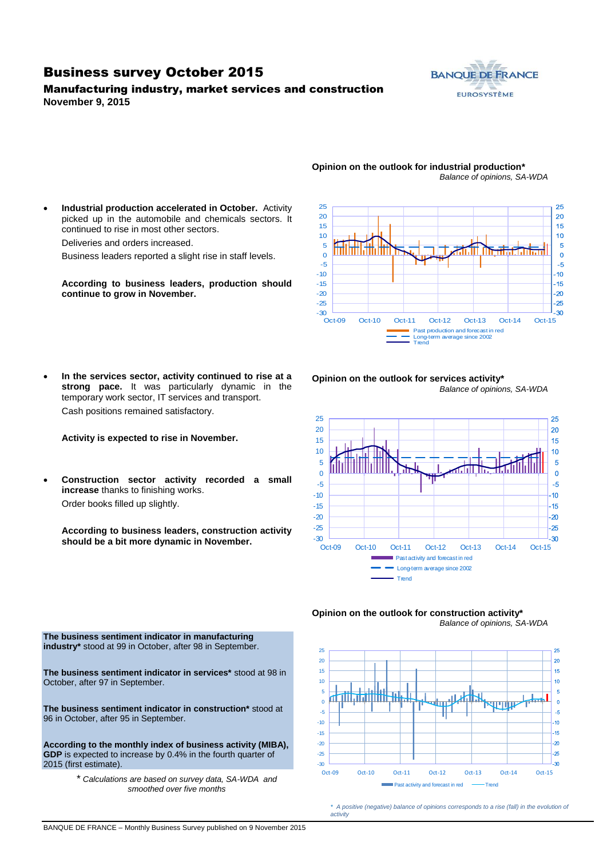## Business survey October 2015

Manufacturing industry, market services and construction **November 9, 2015**



#### **Opinion on the outlook for industrial production\*** *Balance of opinions, SA-WDA*

- 25 25  $20$ 20 15  $15$  $10$ 10 5  $\overline{5}$  $\overline{0}$  $\Omega$ -5  $-5$  $-10$  $10$  $-15$ -15 -20  $-20$ -25  $-25$ 30  $-30$   $\overline{\smash{\big)}\smash{\big)}\ 0ct-09}$ Oct-09 Oct-10 Oct-11 Oct-12 Oct-13 Oct-14 Oct-15 Past production and forecast in red Long-term average since 2002 Trend
- **Industrial production accelerated in October.** Activity picked up in the automobile and chemicals sectors. It continued to rise in most other sectors.

Deliveries and orders increased.

Business leaders reported a slight rise in staff levels.

**According to business leaders, production should continue to grow in November.**

 **In the services sector, activity continued to rise at a strong pace.** It was particularly dynamic in the temporary work sector, IT services and transport. Cash positions remained satisfactory.

#### **Activity is expected to rise in November.**

 **Construction sector activity recorded a small increase** thanks to finishing works. Order books filled up slightly.

**According to business leaders, construction activity should be a bit more dynamic in November.**

**Opinion on the outlook for services activity\*** *Balance of opinions, SA-WDA*







*\* A positive (negative) balance of opinions corresponds to a rise (fall) in the evolution of activity*

**The business sentiment indicator in manufacturing industry\*** stood at 99 in October, after 98 in September.

**The business sentiment indicator in services\*** stood at 98 in October, after 97 in September.

**The business sentiment indicator in construction\*** stood at 96 in October, after 95 in September.

**According to the monthly index of business activity (MIBA), GDP** is expected to increase by 0.4% in the fourth quarter of 2015 (first estimate).

> \* *Calculations are based on survey data, SA-WDA and smoothed over five months*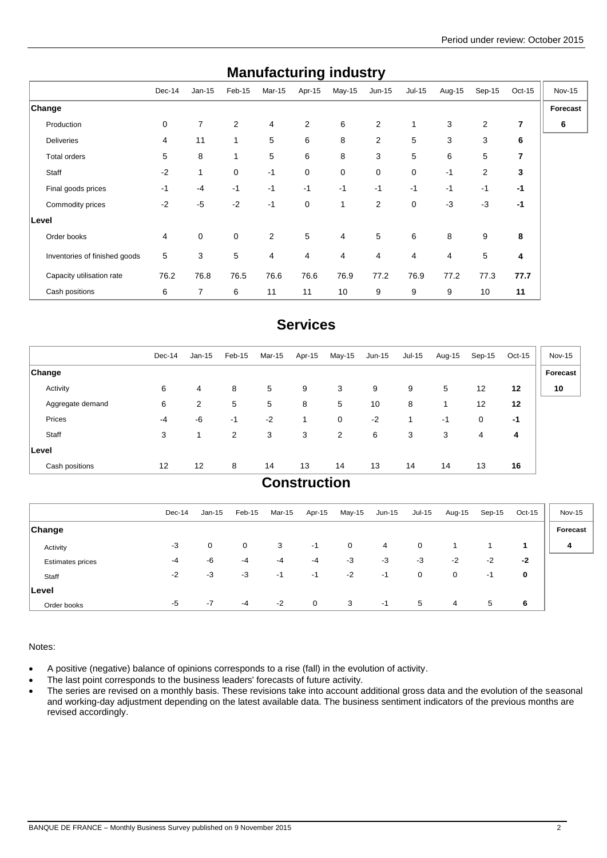| manuravturniy muusti y        |             |             |                |        |        |        |                |             |        |              |                |               |
|-------------------------------|-------------|-------------|----------------|--------|--------|--------|----------------|-------------|--------|--------------|----------------|---------------|
|                               | Dec-14      | $Jan-15$    | Feb-15         | Mar-15 | Apr-15 | May-15 | $Jun-15$       | $Jul-15$    | Aug-15 | Sep-15       | $Oct-15$       | <b>Nov-15</b> |
| <b>Change</b>                 |             |             |                |        |        |        |                |             |        |              |                | Forecast      |
| Production                    | $\mathbf 0$ | 7           | $\overline{2}$ | 4      | 2      | 6      | 2              | 1           | 3      | $\mathbf{2}$ | $\overline{7}$ | 6             |
| <b>Deliveries</b>             | 4           | 11          | $\mathbf{1}$   | 5      | 6      | 8      | 2              | 5           | 3      | 3            | 6              |               |
| Total orders                  | 5           | 8           | 1              | 5      | 6      | 8      | 3              | 5           | 6      | 5            | $\overline{7}$ |               |
| Staff                         | $-2$        | 1           | $\mathbf 0$    | $-1$   | 0      | 0      | $\mathbf 0$    | 0           | $-1$   | 2            | 3              |               |
| Final goods prices            | $-1$        | $-4$        | $-1$           | $-1$   | $-1$   | $-1$   | $-1$           | $-1$        | $-1$   | $-1$         | $-1$           |               |
| Commodity prices              | $-2$        | $-5$        | $-2$           | $-1$   | 0      | 1      | 2              | $\mathbf 0$ | $-3$   | $-3$         | $-1$           |               |
| Level                         |             |             |                |        |        |        |                |             |        |              |                |               |
| Order books                   | 4           | $\mathbf 0$ | $\mathbf 0$    | 2      | 5      | 4      | 5              | 6           | 8      | 9            | 8              |               |
| Inventories of finished goods | 5           | 3           | 5              | 4      | 4      | 4      | $\overline{4}$ | 4           | 4      | 5            | 4              |               |
| Capacity utilisation rate     | 76.2        | 76.8        | 76.5           | 76.6   | 76.6   | 76.9   | 77.2           | 76.9        | 77.2   | 77.3         | 77.7           |               |
| Cash positions                | 6           | 7           | 6              | 11     | 11     | 10     | 9              | 9           | 9      | 10           | 11             |               |

# **Manufacturing industry**

## **Services**

|                  | $Dec-14$ | $Jan-15$ | Feb-15         | Mar-15 | Apr-15 | May-15      | Jun-15 | Jul-15 | Aug-15 | Sep-15 | Oct-15 | Nov-15   |
|------------------|----------|----------|----------------|--------|--------|-------------|--------|--------|--------|--------|--------|----------|
| <b>Change</b>    |          |          |                |        |        |             |        |        |        |        |        | Forecast |
| Activity         | 6        | 4        | 8              | 5      | 9      | 3           | 9      | 9      | 5      | 12     | 12     | 10       |
| Aggregate demand | 6        | 2        | 5              | 5      | 8      | 5           | 10     | 8      | 1      | 12     | 12     |          |
| Prices           | $-4$     | -6       | -1             | $-2$   | 1      | $\mathbf 0$ | $-2$   |        | -1     | 0      | -1     |          |
| Staff            | 3        |          | $\overline{2}$ | 3      | 3      | 2           | 6      | 3      | 3      | 4      | 4      |          |
| Level            |          |          |                |        |        |             |        |        |        |        |        |          |
| Cash positions   | 12       | 12       | 8              | 14     | 13     | 14          | 13     | 14     | 14     | 13     | 16     |          |
| $R = 1$          |          |          |                |        |        |             |        |        |        |        |        |          |

### **Construction**

|                         | $Dec-14$ | $Jan-15$ | Feb-15       | Mar-15 | Apr-15      | May-15      | Jun-15 | Jul-15 | Aug-15 | Sep-15 | $Oct-15$ | <b>Nov-15</b> |
|-------------------------|----------|----------|--------------|--------|-------------|-------------|--------|--------|--------|--------|----------|---------------|
| <b>Change</b>           |          |          |              |        |             |             |        |        |        |        |          | Forecast      |
| Activity                | $-3$     | 0        | $\mathbf{0}$ | 3      | $-1$        | $\mathbf 0$ | 4      | 0      |        |        |          | 4             |
| <b>Estimates prices</b> | -4       | -6       | $-4$         | $-4$   | $-4$        | $-3$        | -3     | $-3$   | $-2$   | $-2$   | $-2$     |               |
| Staff                   | $-2$     | $-3$     | $-3$         | $-1$   | $-1$        | $-2$        | $-1$   | 0      | 0      | -1     | 0        |               |
| ∣Level                  |          |          |              |        |             |             |        |        |        |        |          |               |
| Order books             | $-5$     | $-7$     | $-4$         | $-2$   | $\mathbf 0$ | 3           | -1     | 5      | 4      | 5      | 6        |               |

#### Notes:

- A positive (negative) balance of opinions corresponds to a rise (fall) in the evolution of activity.
- The last point corresponds to the business leaders' forecasts of future activity.
- The series are revised on a monthly basis. These revisions take into account additional gross data and the evolution of the seasonal and working-day adjustment depending on the latest available data. The business sentiment indicators of the previous months are revised accordingly.